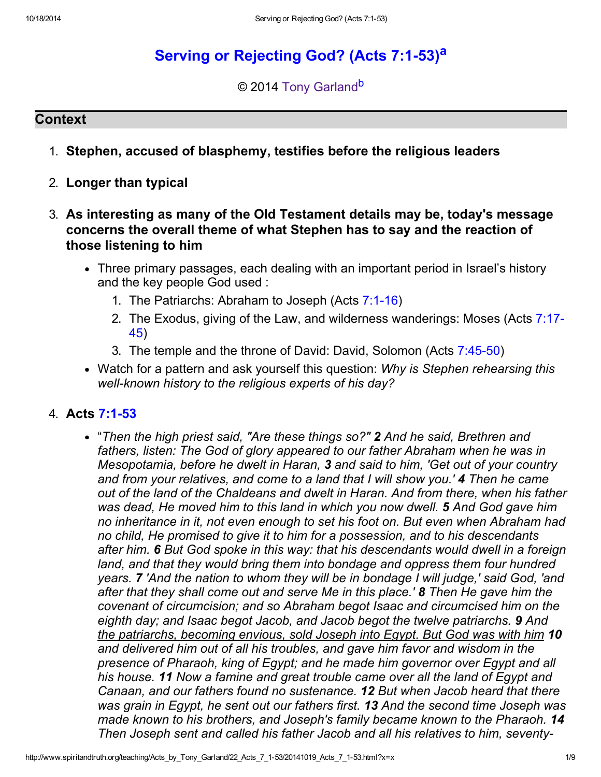# Serving or Rejecting God? (Acts 7:1-53)<sup>a</sup>

#### © 2014 Tony Garland<sup>b</sup>

#### **Context**

- 1. Stephen, accused of blasphemy, testifies before the religious leaders
- 2. Longer than typical
- 3. As interesting as many of the Old Testament details may be, today's message concerns the overall theme of what Stephen has to say and the reaction of those listening to him
	- Three primary passages, each dealing with an important period in Israel's history and the key people God used :
		- 1. The Patriarchs: Abraham to Joseph (Acts 7:1-16)
		- 2. The Exodus, giving of the Law, and wilderness wanderings: Moses (Acts 7:17- 45)
		- 3. The temple and the throne of David: David, Solomon (Acts 7:45-50)
	- Watch for a pattern and ask yourself this question: Why is Stephen rehearsing this well-known history to the religious experts of his day?

#### 4. Acts 7:1-53

"Then the high priest said, "Are these things so?" 2 And he said, Brethren and fathers, listen: The God of glory appeared to our father Abraham when he was in Mesopotamia, before he dwelt in Haran, 3 and said to him, 'Get out of your country and from your relatives, and come to a land that I will show you.' 4 Then he came out of the land of the Chaldeans and dwelt in Haran. And from there, when his father was dead, He moved him to this land in which you now dwell. 5 And God gave him no inheritance in it, not even enough to set his foot on. But even when Abraham had no child, He promised to give it to him for a possession, and to his descendants after him. 6 But God spoke in this way: that his descendants would dwell in a foreign land, and that they would bring them into bondage and oppress them four hundred years. 7 'And the nation to whom they will be in bondage I will judge,' said God, 'and after that they shall come out and serve Me in this place.' 8 Then He gave him the covenant of circumcision; and so Abraham begot Isaac and circumcised him on the eighth day; and Isaac begot Jacob, and Jacob begot the twelve patriarchs. 9 And the patriarchs, becoming envious, sold Joseph into Egypt. But God was with him 10 and delivered him out of all his troubles, and gave him favor and wisdom in the presence of Pharaoh, king of Egypt; and he made him governor over Egypt and all his house. 11 Now a famine and great trouble came over all the land of Egypt and Canaan, and our fathers found no sustenance. 12 But when Jacob heard that there was grain in Egypt, he sent out our fathers first. 13 And the second time Joseph was made known to his brothers, and Joseph's family became known to the Pharaoh. 14 Then Joseph sent and called his father Jacob and all his relatives to him, seventy-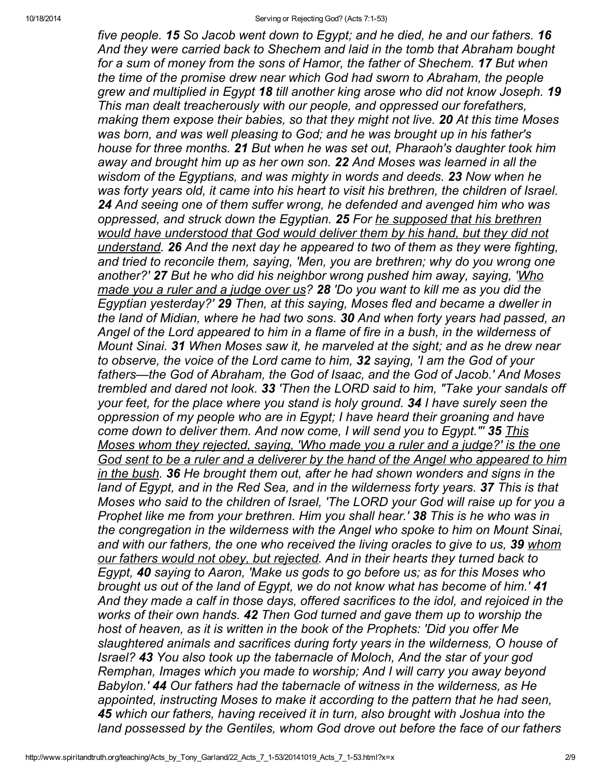five people. 15 So Jacob went down to Egypt; and he died, he and our fathers. 16 And they were carried back to Shechem and laid in the tomb that Abraham bought for a sum of money from the sons of Hamor, the father of Shechem. 17 But when the time of the promise drew near which God had sworn to Abraham, the people grew and multiplied in Egypt 18 till another king arose who did not know Joseph. 19 This man dealt treacherously with our people, and oppressed our forefathers, making them expose their babies, so that they might not live. 20 At this time Moses was born, and was well pleasing to God; and he was brought up in his father's house for three months. 21 But when he was set out, Pharaoh's daughter took him away and brought him up as her own son. 22 And Moses was learned in all the wisdom of the Egyptians, and was mighty in words and deeds. 23 Now when he was forty years old, it came into his heart to visit his brethren, the children of Israel. 24 And seeing one of them suffer wrong, he defended and avenged him who was oppressed, and struck down the Egyptian. 25 For he supposed that his brethren would have understood that God would deliver them by his hand, but they did not understand. 26 And the next day he appeared to two of them as they were fighting, and tried to reconcile them, saying, 'Men, you are brethren; why do you wrong one another?' 27 But he who did his neighbor wrong pushed him away, saying, 'Who made you a ruler and a judge over us? 28 'Do you want to kill me as you did the Egyptian yesterday?' 29 Then, at this saying, Moses fled and became a dweller in the land of Midian, where he had two sons. 30 And when forty years had passed, an Angel of the Lord appeared to him in a flame of fire in a bush, in the wilderness of Mount Sinai. 31 When Moses saw it, he marveled at the sight; and as he drew near to observe, the voice of the Lord came to him, 32 saying, 'I am the God of your fathers—the God of Abraham, the God of Isaac, and the God of Jacob.' And Moses trembled and dared not look. 33 'Then the LORD said to him, "Take your sandals off your feet, for the place where you stand is holy ground. 34 I have surely seen the oppression of my people who are in Egypt; I have heard their groaning and have come down to deliver them. And now come, I will send you to Egypt."' 35 This Moses whom they rejected, saying, 'Who made you a ruler and a judge?' is the one God sent to be a ruler and a deliverer by the hand of the Angel who appeared to him in the bush. 36 He brought them out, after he had shown wonders and signs in the land of Egypt, and in the Red Sea, and in the wilderness forty years. 37 This is that Moses who said to the children of Israel, 'The LORD your God will raise up for you a Prophet like me from your brethren. Him you shall hear.' 38 This is he who was in the congregation in the wilderness with the Angel who spoke to him on Mount Sinai, and with our fathers, the one who received the living oracles to give to us, 39 whom our fathers would not obey, but rejected. And in their hearts they turned back to Egypt, 40 saying to Aaron, 'Make us gods to go before us; as for this Moses who brought us out of the land of Egypt, we do not know what has become of him.' 41 And they made a calf in those days, offered sacrifices to the idol, and rejoiced in the works of their own hands. 42 Then God turned and gave them up to worship the host of heaven, as it is written in the book of the Prophets: 'Did you offer Me slaughtered animals and sacrifices during forty years in the wilderness, O house of Israel? 43 You also took up the tabernacle of Moloch, And the star of your god Remphan, Images which you made to worship; And I will carry you away beyond Babylon.' 44 Our fathers had the tabernacle of witness in the wilderness, as He appointed, instructing Moses to make it according to the pattern that he had seen, 45 which our fathers, having received it in turn, also brought with Joshua into the land possessed by the Gentiles, whom God drove out before the face of our fathers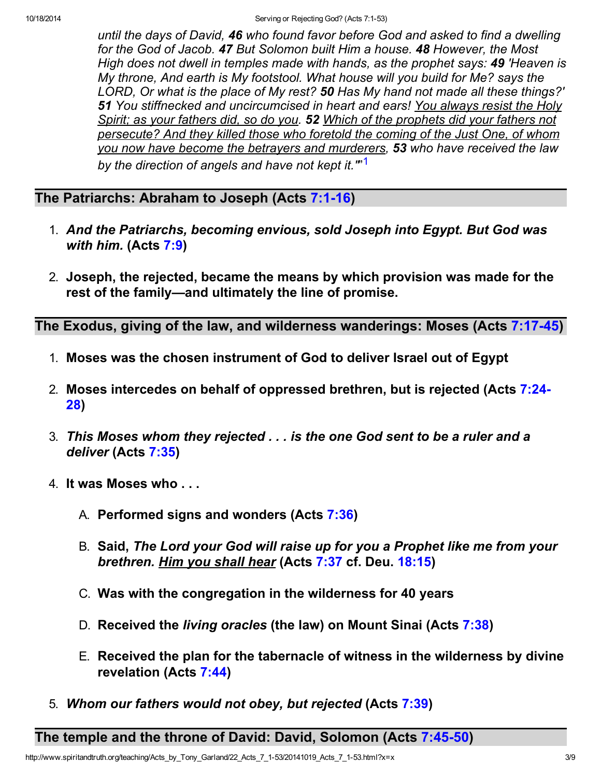until the days of David, 46 who found favor before God and asked to find a dwelling for the God of Jacob. 47 But Solomon built Him a house. 48 However, the Most High does not dwell in temples made with hands, as the prophet says: 49 'Heaven is My throne, And earth is My footstool. What house will you build for Me? says the LORD, Or what is the place of My rest? 50 Has My hand not made all these things?' 51 You stiffnecked and uncircumcised in heart and ears! You always resist the Holy Spirit; as your fathers did, so do you. 52 Which of the prophets did your fathers not persecute? And they killed those who foretold the coming of the Just One, of whom you now have become the betrayers and murderers, 53 who have received the law by the direction of angels and have not kept it.'"<sup>,[1](#page-8-0)</sup>

# The Patriarchs: Abraham to Joseph (Acts 7:1-16)

- 1. And the Patriarchs, becoming envious, sold Joseph into Egypt. But God was with him. (Acts 7:9)
- 2. Joseph, the rejected, became the means by which provision was made for the rest of the family—and ultimately the line of promise.

The Exodus, giving of the law, and wilderness wanderings: Moses (Acts 7:17-45)

- 1. Moses was the chosen instrument of God to deliver Israel out of Egypt
- 2. Moses intercedes on behalf of oppressed brethren, but is rejected (Acts 7:24- 28)
- 3. This Moses whom they rejected . . . is the one God sent to be a ruler and a deliver (Acts 7:35)
- 4. It was Moses who . . .
	- A. Performed signs and wonders (Acts 7:36)
	- B. Said, The Lord your God will raise up for you a Prophet like me from your brethren. Him you shall hear (Acts 7:37 cf. Deu. 18:15)
	- C. Was with the congregation in the wilderness for 40 years
	- D. Received the *living oracles* (the law) on Mount Sinai (Acts 7:38)
	- E. Received the plan for the tabernacle of witness in the wilderness by divine revelation (Acts 7:44)
- 5. Whom our fathers would not obey, but rejected (Acts 7:39)

The temple and the throne of David: David, Solomon (Acts 7:45-50)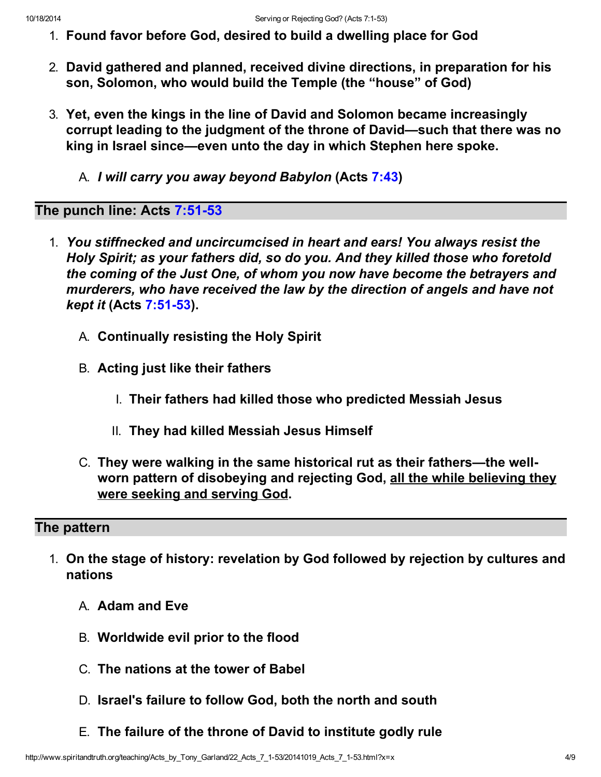- 1. Found favor before God, desired to build a dwelling place for God
- 2. David gathered and planned, received divine directions, in preparation for his son, Solomon, who would build the Temple (the "house" of God)
- 3. Yet, even the kings in the line of David and Solomon became increasingly corrupt leading to the judgment of the throne of David—such that there was no king in Israel since—even unto the day in which Stephen here spoke.
	- A. I will carry you away beyond Babylon (Acts 7:43)

### The punch line: Acts 7:51-53

- 1. You stiffnecked and uncircumcised in heart and ears! You always resist the Holy Spirit; as your fathers did, so do you. And they killed those who foretold the coming of the Just One, of whom you now have become the betrayers and murderers, who have received the law by the direction of angels and have not kept it (Acts 7:51-53).
	- A. Continually resisting the Holy Spirit
	- B. Acting just like their fathers
		- I. Their fathers had killed those who predicted Messiah Jesus
		- II. They had killed Messiah Jesus Himself
	- C. They were walking in the same historical rut as their fathers—the wellworn pattern of disobeying and rejecting God, all the while believing they were seeking and serving God.

# The pattern

- 1. On the stage of history: revelation by God followed by rejection by cultures and nations
	- A. Adam and Eve
	- B. Worldwide evil prior to the flood
	- C. The nations at the tower of Babel
	- D. Israel's failure to follow God, both the north and south
	- E. The failure of the throne of David to institute godly rule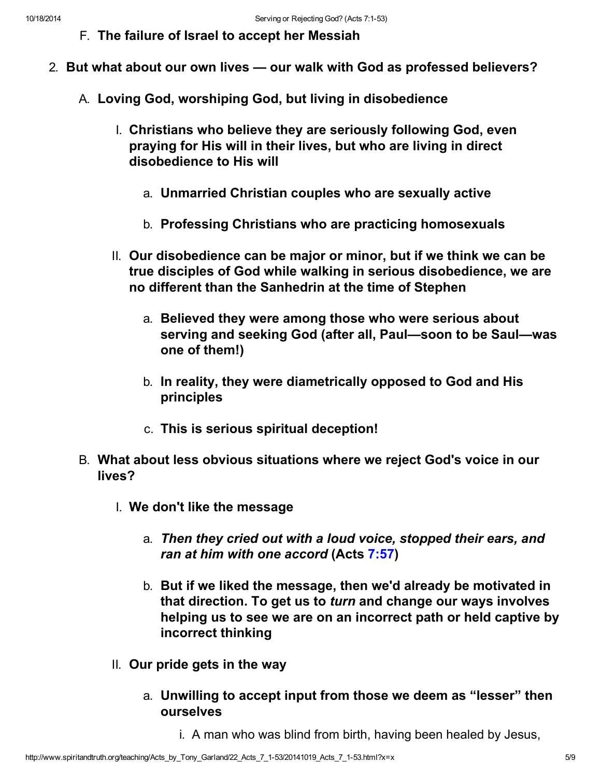F. The failure of Israel to accept her Messiah

- 2. But what about our own lives our walk with God as professed believers?
	- A. Loving God, worshiping God, but living in disobedience
		- I. Christians who believe they are seriously following God, even praying for His will in their lives, but who are living in direct disobedience to His will
			- a. Unmarried Christian couples who are sexually active
			- b. Professing Christians who are practicing homosexuals
		- II. Our disobedience can be major or minor, but if we think we can be true disciples of God while walking in serious disobedience, we are no different than the Sanhedrin at the time of Stephen
			- a. Believed they were among those who were serious about serving and seeking God (after all, Paul—soon to be Saul—was one of them!)
			- b. In reality, they were diametrically opposed to God and His principles
			- c. This is serious spiritual deception!
	- B. What about less obvious situations where we reject God's voice in our lives?
		- I. We don't like the message
			- a. Then they cried out with a loud voice, stopped their ears, and ran at him with one accord (Acts 7:57)
			- b. But if we liked the message, then we'd already be motivated in that direction. To get us to turn and change our ways involves helping us to see we are on an incorrect path or held captive by incorrect thinking
		- II. Our pride gets in the way
			- a. Unwilling to accept input from those we deem as "lesser" then ourselves
				- i. A man who was blind from birth, having been healed by Jesus,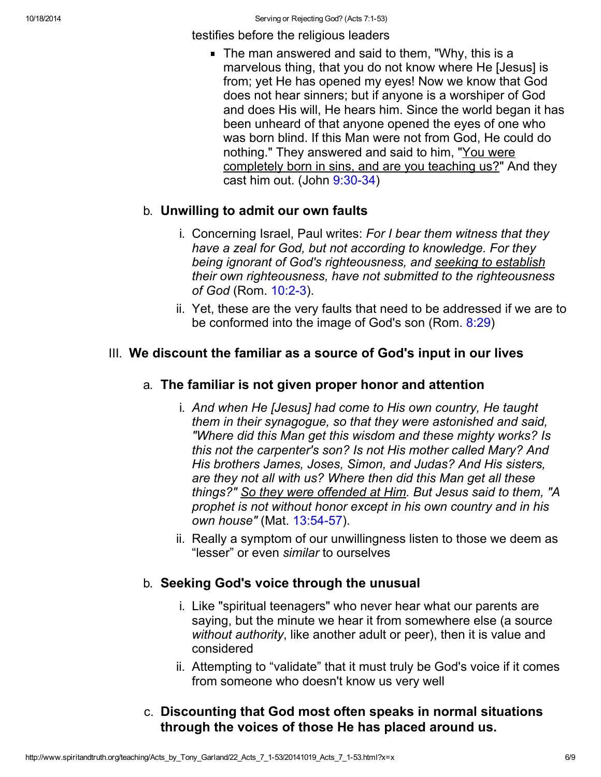testifies before the religious leaders

The man answered and said to them, "Why, this is a marvelous thing, that you do not know where He [Jesus] is from; yet He has opened my eyes! Now we know that God does not hear sinners; but if anyone is a worshiper of God and does His will, He hears him. Since the world began it has been unheard of that anyone opened the eyes of one who was born blind. If this Man were not from God, He could do nothing." They answered and said to him, "You were completely born in sins, and are you teaching us?" And they cast him out. (John 9:30-34)

### b. Unwilling to admit our own faults

- i. Concerning Israel, Paul writes: For I bear them witness that they have a zeal for God, but not according to knowledge. For they being ignorant of God's righteousness, and seeking to establish their own righteousness, have not submitted to the righteousness of God (Rom. 10:2-3).
- ii. Yet, these are the very faults that need to be addressed if we are to be conformed into the image of God's son (Rom. 8:29)

# III. We discount the familiar as a source of God's input in our lives

# a. The familiar is not given proper honor and attention

- i. And when He [Jesus] had come to His own country, He taught them in their synagogue, so that they were astonished and said, "Where did this Man get this wisdom and these mighty works? Is this not the carpenter's son? Is not His mother called Mary? And His brothers James, Joses, Simon, and Judas? And His sisters, are they not all with us? Where then did this Man get all these things?" So they were offended at Him. But Jesus said to them, "A prophet is not without honor except in his own country and in his own house" (Mat. 13:54-57).
- ii. Really a symptom of our unwillingness listen to those we deem as "lesser" or even similar to ourselves

# b. Seeking God's voice through the unusual

- i. Like "spiritual teenagers" who never hear what our parents are saying, but the minute we hear it from somewhere else (a source without authority, like another adult or peer), then it is value and considered
- ii. Attempting to "validate" that it must truly be God's voice if it comes from someone who doesn't know us very well

# c. Discounting that God most often speaks in normal situations through the voices of those He has placed around us.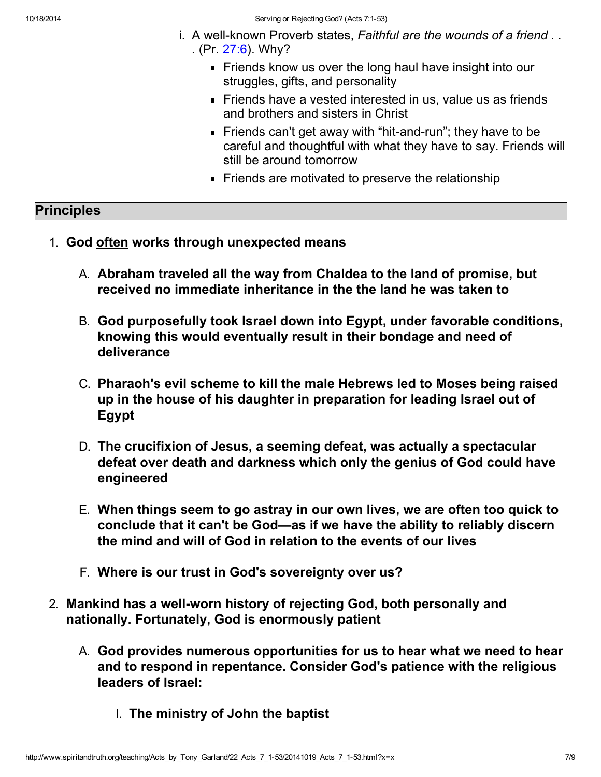- i. A well-known Proverb states, Faithful are the wounds of a friend . . . (Pr.  $27:6$ ). Why?
	- Friends know us over the long haul have insight into our struggles, gifts, and personality
	- **Firands have a vested interested in us, value us as friends** and brothers and sisters in Christ
	- Friends can't get away with "hit-and-run"; they have to be careful and thoughtful with what they have to say. Friends will still be around tomorrow
	- Friends are motivated to preserve the relationship

#### **Principles**

- 1. God often works through unexpected means
	- A. Abraham traveled all the way from Chaldea to the land of promise, but received no immediate inheritance in the the land he was taken to
	- B. God purposefully took Israel down into Egypt, under favorable conditions, knowing this would eventually result in their bondage and need of deliverance
	- C. Pharaoh's evil scheme to kill the male Hebrews led to Moses being raised up in the house of his daughter in preparation for leading Israel out of Egypt
	- D. The crucifixion of Jesus, a seeming defeat, was actually a spectacular defeat over death and darkness which only the genius of God could have engineered
	- E. When things seem to go astray in our own lives, we are often too quick to conclude that it can't be God—as if we have the ability to reliably discern the mind and will of God in relation to the events of our lives
	- F. Where is our trust in God's sovereignty over us?
- 2. Mankind has a well-worn history of rejecting God, both personally and nationally. Fortunately, God is enormously patient
	- A. God provides numerous opportunities for us to hear what we need to hear and to respond in repentance. Consider God's patience with the religious leaders of Israel:
		- I. The ministry of John the baptist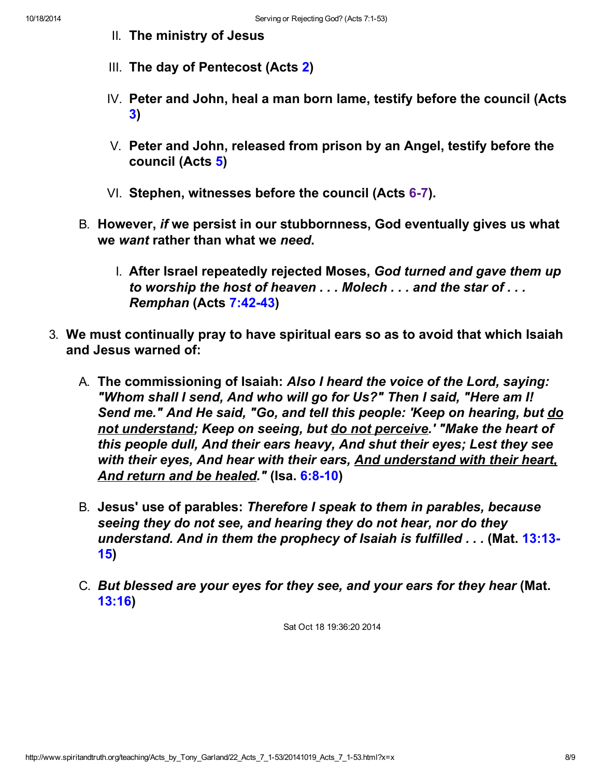- II. The ministry of Jesus
- III. The day of Pentecost (Acts 2)
- IV. Peter and John, heal a man born lame, testify before the council (Acts 3)
- V. Peter and John, released from prison by an Angel, testify before the council (Acts 5)
- VI. Stephen, witnesses before the council (Acts 6-7).
- B. However, if we persist in our stubbornness, God eventually gives us what we want rather than what we need.
	- I. After Israel repeatedly rejected Moses, God turned and gave them up to worship the host of heaven . . . Molech . . . and the star of . . . Remphan (Acts 7:42-43)
- 3. We must continually pray to have spiritual ears so as to avoid that which Isaiah and Jesus warned of:
	- A. The commissioning of Isaiah: Also I heard the voice of the Lord, saying: "Whom shall I send, And who will go for Us?" Then I said, "Here am I! Send me." And He said, "Go, and tell this people: 'Keep on hearing, but do not understand; Keep on seeing, but do not perceive.' "Make the heart of this people dull, And their ears heavy, And shut their eyes; Lest they see with their eyes, And hear with their ears, And understand with their heart, And return and be healed." (Isa. 6:8-10)
	- B. Jesus' use of parables: Therefore I speak to them in parables, because seeing they do not see, and hearing they do not hear, nor do they understand. And in them the prophecy of Isaiah is fulfilled . . . (Mat. 13:13-15)
	- C. But blessed are your eyes for they see, and your ears for they hear (Mat. 13:16)

Sat Oct 18 19:36:20 2014